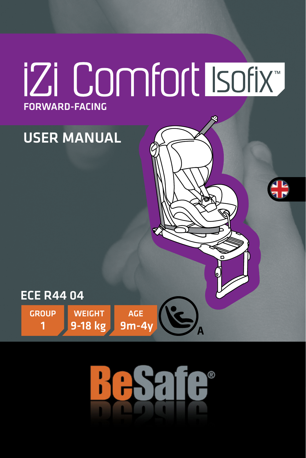# **IZi Comfort Isofix FORWARD-FACING**

## **USER MANUAL**



**GROUP** 

**WEIGHT** 9-18 kg

AGE  $9m-4v$ 

air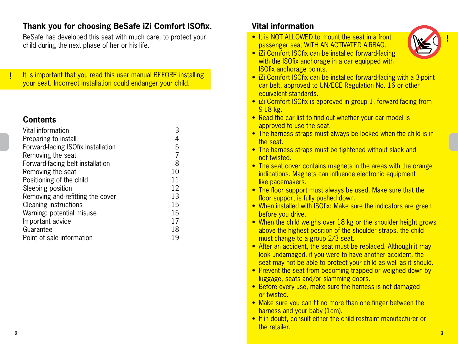## **Thank you for choosing BeSafe iZi Comfort ISOfix.**

BeSafe has developed this seat with much care, to protect your child during the next phase of her or his life.

It is important that you read this user manual BEFORE installing your seat. Incorrect installation could endanger your child.

## **Contents**

!

| Vital information                  |    |
|------------------------------------|----|
| Preparing to install               |    |
| Forward-facing ISOfix installation | 5  |
| Removing the seat                  | 7  |
| Forward-facing belt installation   | 8  |
| Removing the seat                  | 10 |
| Positioning of the child           | 11 |
| Sleeping position                  | 12 |
| Removing and refitting the cover   | 13 |
| Cleaning instructions              | 15 |
| Warning: potential misuse          | 15 |
| Important advice                   | 17 |
| Guarantee                          | 18 |
| Point of sale information          | 19 |

## **Vital information**

• It is NOT ALLOWED to mount the seat in a front passenger seat WITH AN ACTIVATED AIRBAG.



- iZi Comfort ISOfix can be installed forward-facing with the ISOfix anchorage in a car equipped with ISOfix anchorage points.
- iZi Comfort ISOfix can be installed forward-facing with a 3-point car belt, approved to UN/ECE Regulation No. 16 or other equivalent standards.
- iZi Comfort ISOfix is approved in group 1, forward-facing from 9-18 kg.
- Read the car list to find out whether your car model is approved to use the seat.
- The harness straps must always be locked when the child is in the seat.
- The harness straps must be tightened without slack and not twisted.
- The seat cover contains magnets in the areas with the orange indications. Magnets can influence electronic equipment like pacemakers.
- The floor support must always be used. Make sure that the floor support is fully pushed down.
- When installed with ISOfix: Make sure the indicators are green before you drive.
- When the child weighs over 18 kg or the shoulder height grows above the highest position of the shoulder straps, the child must change to a group 2/3 seat.
- After an accident, the seat must be replaced. Although it may look undamaged, if you were to have another accident, the seat may not be able to protect your child as well as it should.
- Prevent the seat from becoming trapped or weighed down by luggage, seats and/or slamming doors.
- Before every use, make sure the harness is not damaged or twisted.
- Make sure you can fit no more than one finger between the harness and your baby (1cm).
- If in doubt, consult either the child restraint manufacturer or the retailer.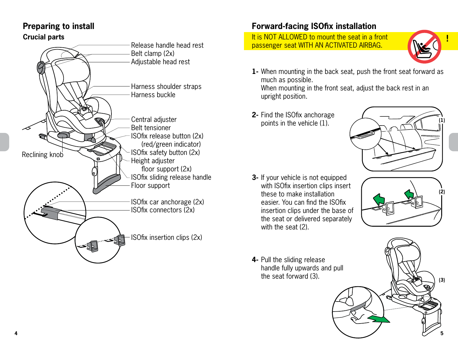## **Preparing to install**

#### **Crucial parts**



## **Forward-facing ISOfix installation**

It is NOT ALLOWED to mount the seat in a front passenger seat WITH AN ACTIVATED AIRBAG.



When mounting in the back seat, push the front seat forward as **1** much as possible.

When mounting in the front seat, adjust the back rest in an upright position.

**2-** Find the ISOfix anchorage points in the vehicle (1).



**3-** If your vehicle is not equipped with ISOfix insertion clips insert these to make installation easier. You can find the ISOfix insertion clips under the base of the seat or delivered separately with the seat (2).



**(3)**

**4-** Pull the sliding release handle fully upwards and pull the seat forward (3).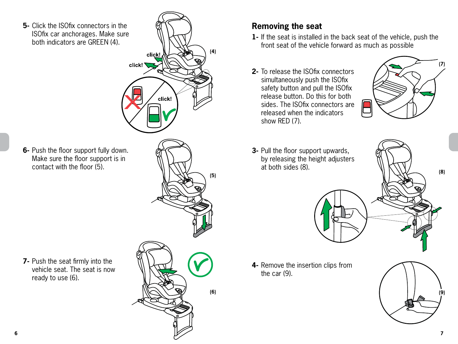**5**- Click the ISOfix connectors in the ISOfix car anchorages. Make sure both indicators are GREEN (4).



**6-** Push the floor support fully down. Make sure the floor support is in contact with the floor (5).

**7-** Push the seat firmly into the vehicle seat. The seat is now ready to use (6).



**(5)**

**(6)**

- **Removing the seat**
- **1-** If the seat is installed in the back seat of the vehicle, push the front seat of the vehicle forward as much as possible
- **2-** To release the ISOfix connectors simultaneously push the ISOfix safety button and pull the ISOfix release button. Do this for both sides. The ISOfix connectors are released when the indicators show RED (7).



**3**- Pull the floor support upwards, by releasing the height adjusters at both sides (8).



**4-** Remove the insertion clips from the car (9).



**(8)**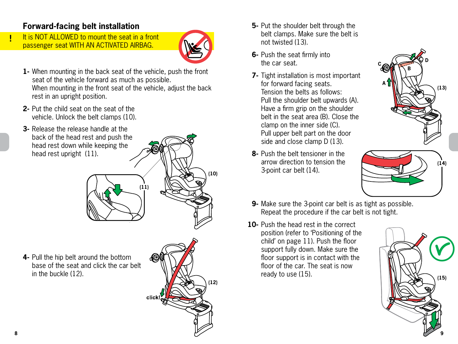## **Forward-facing belt installation**

It is NOT ALLOWED to mount the seat in a front passenger seat WITH AN ACTIVATED AIRBAG.



**(10)**

When mounting in the back seat of the vehicle, push the front **1** seat of the vehicle forward as much as possible. When mounting in the front seat of the vehicle, adjust the back rest in an upright position.

**(11)**

- **2-** Put the child seat on the seat of the vehicle. Unlock the belt clamps (10).
- **3-** Release the release handle at the back of the head rest and push the head rest down while keeping the head rest upright (11).

**4-** Pull the hip belt around the bottom base of the seat and click the car belt in the buckle (12).



- **5-** Put the shoulder belt through the belt clamps. Make sure the belt is not twisted (13).
- **6-** Push the seat firmly into the car seat.
- **7-** Tight installation is most important for forward facing seats. Tension the belts as follows: Pull the shoulder belt upwards (A). Have a firm grip on the shoulder belt in the seat area (B). Close the clamp on the inner side (C). Pull upper belt part on the door side and close clamp D (13).
- **8-** Push the belt tensioner in the arrow direction to tension the 3-point car belt (14).





- **9-** Make sure the 3-point car belt is as tight as possible. Repeat the procedure if the car belt is not tight.
- **10-** Push the head rest in the correct position (refer to 'Positioning of the child' on page 11). Push the floor support fully down. Make sure the floor support is in contact with the floor of the car. The seat is now ready to use (15).



!<br>!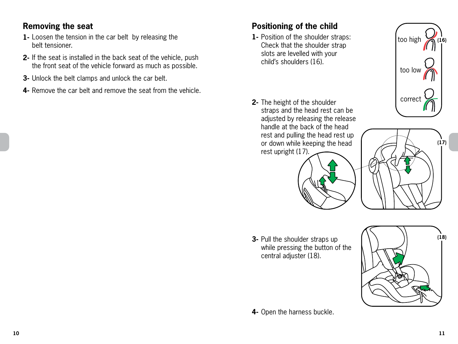## **Removing the seat**

- Loosen the tension in the car belt by releasing the **1** belt tensioner.
- **2-** It the seat is installed in the back seat of the vehicle, push the front seat of the vehicle forward as much as possible.
- Unlock the belt clamps and unlock the car belt. **3-**
- **4-** Remove the car belt and remove the seat from the vehicle.

## **Positioning of the child**

- **1** Position of the shoulder straps: Check that the shoulder strap slots are levelled with your child's shoulders (16).
- **2-** The height of the shoulder straps and the head rest can be adjusted by releasing the release handle at the back of the head rest and pulling the head rest up or down while keeping the head rest upright (17).





**3-** Pull the shoulder straps up while pressing the button of the central adjuster (18).



**4-** Open the harness buckle.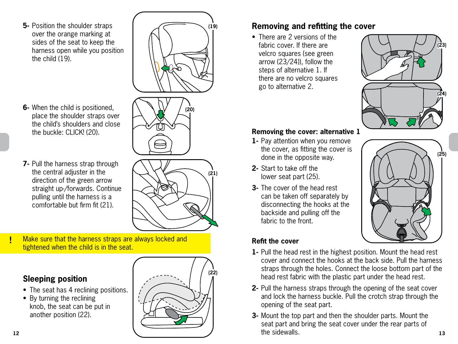**5-** Position the shoulder straps over the orange marking at sides of the seat to keep the harness open while you position the child (19).



- When the child is positioned, **6** place the shoulder straps over the child's shoulders and close the buckle: CLICK! (20).
- **7-** Pull the harness strap through the central adjuster in the direction of the green arrow straight up-/forwards. Continue pulling until the harness is a comfortable but firm fit (21).

**(21)**

**(19)**

! Make sure that the harness straps are always locked and tightened when the child is in the seat.

## **Sleeping position**

- The seat has 4 reclining positions.
- By turning the reclining knob, the seat can be put in another position (22).





• There are 2 versions of the fabric cover. If there are velcro squares (see green arrow (23/24)), follow the steps of alternative 1. If there are no velcro squares go to alternative 2.



#### **Removing the cover: alternative 1**

- **1-** Pay attention when you remove the cover, as fitting the cover is done in the opposite way.
- **2-** Start to take off the lower seat part (25).
- **3-** The cover of the head rest can be taken off separately by disconnecting the hooks at the backside and pulling off the fabric to the front.



#### **Refit the cover**

- **1** Pull the head rest in the highest position. Mount the head rest cover and connect the hooks at the back side. Pull the harness straps through the holes. Connect the loose bottom part of the head rest fabric with the plastic part under the head rest.
- **2-** Pull the harness straps through the opening of the seat cover and lock the harness buckle. Pull the crotch strap through the opening of the seat part.
- **12 13 3-** Mount the top part and then the shoulder parts. Mount the seat part and bring the seat cover under the rear parts of the sidewalls.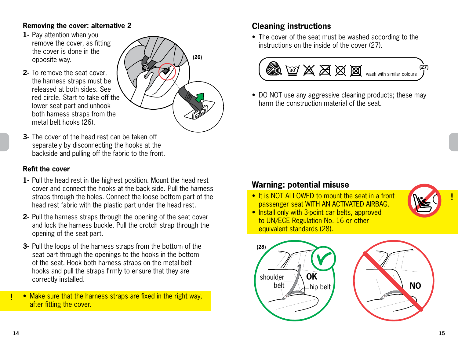#### **Removing the cover: alternative 2**

- **1-** Pay attention when you remove the cover, as fitting the cover is done in the opposite way.
- **2-** To remove the seat cover, the harness straps must be released at both sides. See red circle. Start to take off the lower seat part and unhook both harness straps from the metal belt hooks (26).



**3-** The cover of the head rest can be taken off separately by disconnecting the hooks at the backside and pulling off the fabric to the front.

#### **Refit the cover**

- **1** Pull the head rest in the highest position. Mount the head rest cover and connect the hooks at the back side. Pull the harness straps through the holes. Connect the loose bottom part of the head rest fabric with the plastic part under the head rest.
- **2** Pull the harness straps through the opening of the seat cover and lock the harness buckle. Pull the crotch strap through the opening of the seat part.
- **3-** Pull the loops of the harness straps from the bottom of the seat part through the openings to the hooks in the bottom of the seat. Hook both harness straps on the metal belt hooks and pull the straps firmly to ensure that they are correctly installed.

• Make sure that the harness straps are fixed in the right way, after fitting the cover.

## **Cleaning instructions**

• The cover of the seat must be washed according to the instructions on the inside of the cover (27).



• DO NOT use any aggressive cleaning products; these may harm the construction material of the seat.

## **Warning: potential misuse**

- It is NOT ALLOWED to mount the seat in a front passenger seat WITH AN ACTIVATED AIRBAG.
- Install only with 3-point car belts, approved to UN/ECE Regulation No. 16 or other equivalent standards (28).





!

!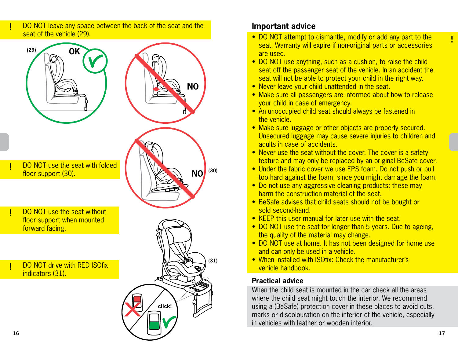

#### DO NOT leave any space between the back of the seat and the **Important advice**

- DO NOT attempt to dismantle, modify or add any part to the seat. Warranty will expire if non-original parts or accessories are used.
- DO NOT use anything, such as a cushion, to raise the child seat off the passenger seat of the vehicle. In an accident the seat will not be able to protect your child in the right way.
- Never leave your child unattended in the seat.
- Make sure all passengers are informed about how to release your child in case of emergency.
- An unoccupied child seat should always be fastened in the vehicle.
- Make sure luggage or other objects are properly secured. Unsecured luggage may cause severe injuries to children and adults in case of accidents.
- Never use the seat without the cover. The cover is a safety feature and may only be replaced by an original BeSafe cover.
- Under the fabric cover we use EPS foam. Do not push or pull too hard against the foam, since you might damage the foam.
- Do not use any aggressive cleaning products; these may harm the construction material of the seat.
- BeSafe advises that child seats should not be bought or sold second-hand.
- KEEP this user manual for later use with the seat.
- DO NOT use the seat for longer than 5 years. Due to ageing, the quality of the material may change.
- DO NOT use at home. It has not been designed for home use and can only be used in a vehicle.
- When installed with ISOfix: Check the manufacturer's vehicle handbook.

#### **Practical advice**

When the child seat is mounted in the car check all the areas where the child seat might touch the interior. We recommend using a (BeSafe) protection cover in these places to avoid cuts, marks or discolouration on the interior of the vehicle, especially in vehicles with leather or wooden interior.

!<br>!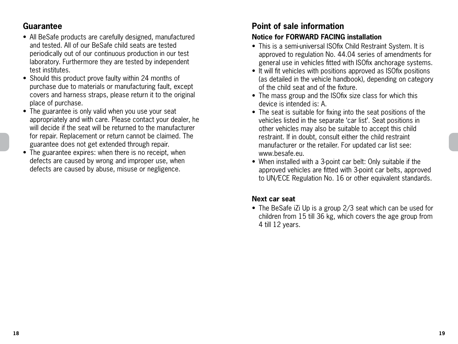## **Guarantee**

- All BeSafe products are carefully designed, manufactured and tested. All of our BeSafe child seats are tested periodically out of our continuous production in our test laboratory. Furthermore they are tested by independent test institutes.
- Should this product prove faulty within 24 months of purchase due to materials or manufacturing fault, except covers and harness straps, please return it to the original place of purchase.
- The guarantee is only valid when you use your seat appropriately and with care. Please contact your dealer, he will decide if the seat will be returned to the manufacturer for repair. Replacement or return cannot be claimed. The guarantee does not get extended through repair.
- The guarantee expires: when there is no receipt, when defects are caused by wrong and improper use, when defects are caused by abuse, misuse or negligence.

## **Point of sale information**

#### **Notice for FORWARD FACING installation**

- This is a semi-universal ISOfix Child Restraint System. It is approved to regulation No. 44.04 series of amendments for general use in vehicles fitted with ISOfix anchorage systems.
- It will fit vehicles with positions approved as ISOfix positions (as detailed in the vehicle handbook), depending on category of the child seat and of the fixture.
- The mass group and the ISOfix size class for which this device is intended is: A.
- The seat is suitable for fixing into the seat positions of the vehicles listed in the separate 'car list'. Seat positions in other vehicles may also be suitable to accept this child restraint. If in doubt, consult either the child restraint manufacturer or the retailer. For updated car list see: www.besafe.eu.
- When installed with a 3-point car belt: Only suitable if the approved vehicles are fitted with 3-point car belts, approved to UN/ECE Regulation No. 16 or other equivalent standards.

#### **Next car seat**

• The BeSafe iZi Up is a group 2/3 seat which can be used for children from 15 till 36 kg, which covers the age group from 4 till 12 years.